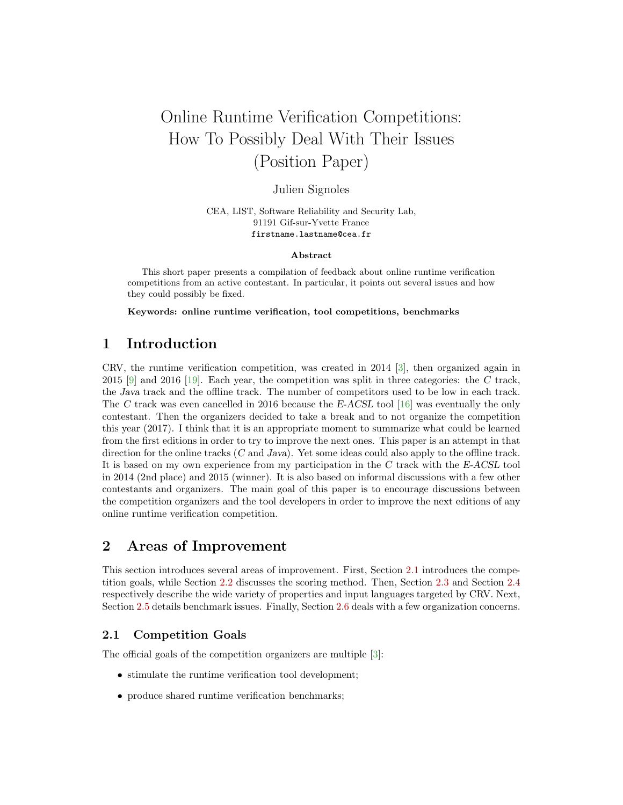# Online Runtime Verification Competitions: How To Possibly Deal With Their Issues (Position Paper)

# Julien Signoles

CEA, LIST, Software Reliability and Security Lab, 91191 Gif-sur-Yvette France firstname.lastname@cea.fr

#### Abstract

This short paper presents a compilation of feedback about online runtime verification competitions from an active contestant. In particular, it points out several issues and how they could possibly be fixed.

Keywords: online runtime verification, tool competitions, benchmarks

# 1 Introduction

CRV, the runtime verification competition, was created in 2014 [\[3\]](#page-5-0), then organized again in 2015 [\[9\]](#page-5-1) and 2016 [\[19\]](#page-6-0). Each year, the competition was split in three categories: the C track, the Java track and the offline track. The number of competitors used to be low in each track. The C track was even cancelled in 2016 because the E-ACSL tool [\[16\]](#page-6-1) was eventually the only contestant. Then the organizers decided to take a break and to not organize the competition this year (2017). I think that it is an appropriate moment to summarize what could be learned from the first editions in order to try to improve the next ones. This paper is an attempt in that direction for the online tracks (C and Java). Yet some ideas could also apply to the offline track. It is based on my own experience from my participation in the C track with the E-ACSL tool in 2014 (2nd place) and 2015 (winner). It is also based on informal discussions with a few other contestants and organizers. The main goal of this paper is to encourage discussions between the competition organizers and the tool developers in order to improve the next editions of any online runtime verification competition.

# 2 Areas of Improvement

This section introduces several areas of improvement. First, Section [2.1](#page-0-0) introduces the competition goals, while Section [2.2](#page-1-0) discusses the scoring method. Then, Section [2.3](#page-1-1) and Section [2.4](#page-2-0) respectively describe the wide variety of properties and input languages targeted by CRV. Next, Section [2.5](#page-2-1) details benchmark issues. Finally, Section [2.6](#page-3-0) deals with a few organization concerns.

## <span id="page-0-0"></span>2.1 Competition Goals

The official goals of the competition organizers are multiple [\[3\]](#page-5-0):

- stimulate the runtime verification tool development;
- produce shared runtime verification benchmarks;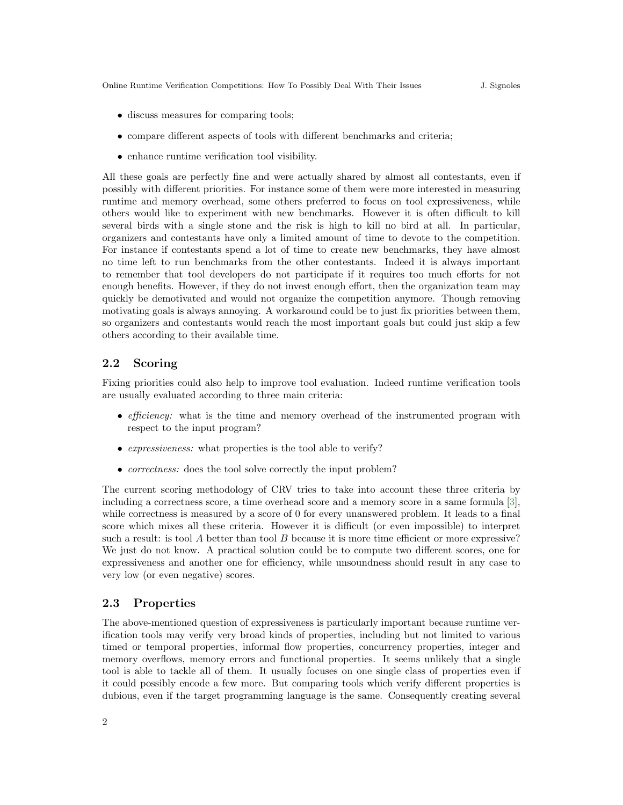Online Runtime Verification Competitions: How To Possibly Deal With Their Issues J. Signoles

- discuss measures for comparing tools;
- compare different aspects of tools with different benchmarks and criteria;
- enhance runtime verification tool visibility.

All these goals are perfectly fine and were actually shared by almost all contestants, even if possibly with different priorities. For instance some of them were more interested in measuring runtime and memory overhead, some others preferred to focus on tool expressiveness, while others would like to experiment with new benchmarks. However it is often difficult to kill several birds with a single stone and the risk is high to kill no bird at all. In particular, organizers and contestants have only a limited amount of time to devote to the competition. For instance if contestants spend a lot of time to create new benchmarks, they have almost no time left to run benchmarks from the other contestants. Indeed it is always important to remember that tool developers do not participate if it requires too much efforts for not enough benefits. However, if they do not invest enough effort, then the organization team may quickly be demotivated and would not organize the competition anymore. Though removing motivating goals is always annoying. A workaround could be to just fix priorities between them, so organizers and contestants would reach the most important goals but could just skip a few others according to their available time.

### <span id="page-1-0"></span>2.2 Scoring

Fixing priorities could also help to improve tool evaluation. Indeed runtime verification tools are usually evaluated according to three main criteria:

- *efficiency*: what is the time and memory overhead of the instrumented program with respect to the input program?
- *expressiveness:* what properties is the tool able to verify?
- *correctness:* does the tool solve correctly the input problem?

The current scoring methodology of CRV tries to take into account these three criteria by including a correctness score, a time overhead score and a memory score in a same formula [\[3\]](#page-5-0), while correctness is measured by a score of 0 for every unanswered problem. It leads to a final score which mixes all these criteria. However it is difficult (or even impossible) to interpret such a result: is tool A better than tool B because it is more time efficient or more expressive? We just do not know. A practical solution could be to compute two different scores, one for expressiveness and another one for efficiency, while unsoundness should result in any case to very low (or even negative) scores.

# <span id="page-1-1"></span>2.3 Properties

The above-mentioned question of expressiveness is particularly important because runtime verification tools may verify very broad kinds of properties, including but not limited to various timed or temporal properties, informal flow properties, concurrency properties, integer and memory overflows, memory errors and functional properties. It seems unlikely that a single tool is able to tackle all of them. It usually focuses on one single class of properties even if it could possibly encode a few more. But comparing tools which verify different properties is dubious, even if the target programming language is the same. Consequently creating several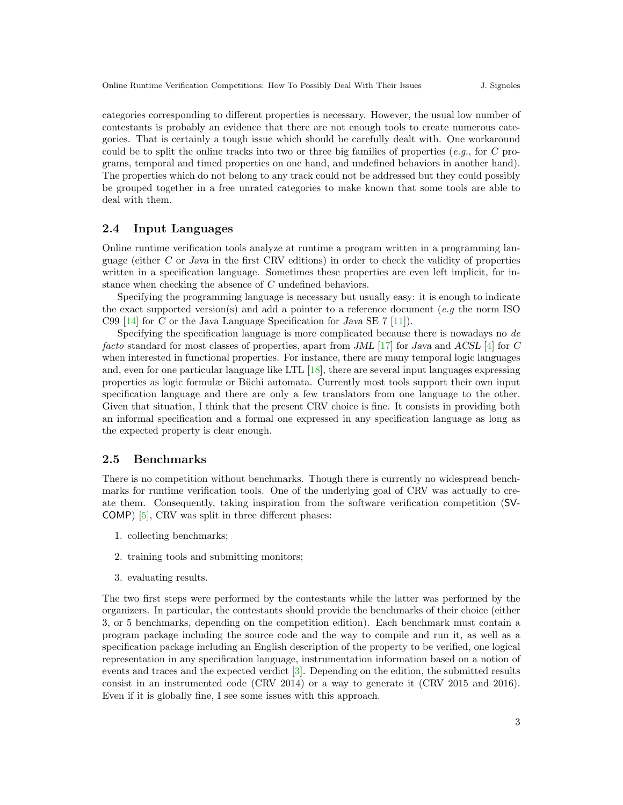categories corresponding to different properties is necessary. However, the usual low number of contestants is probably an evidence that there are not enough tools to create numerous categories. That is certainly a tough issue which should be carefully dealt with. One workaround could be to split the online tracks into two or three big families of properties (e.g., for C programs, temporal and timed properties on one hand, and undefined behaviors in another hand). The properties which do not belong to any track could not be addressed but they could possibly be grouped together in a free unrated categories to make known that some tools are able to deal with them.

### <span id="page-2-0"></span>2.4 Input Languages

Online runtime verification tools analyze at runtime a program written in a programming language (either C or Java in the first CRV editions) in order to check the validity of properties written in a specification language. Sometimes these properties are even left implicit, for instance when checking the absence of C undefined behaviors.

Specifying the programming language is necessary but usually easy: it is enough to indicate the exact supported version(s) and add a pointer to a reference document (e.g the norm ISO C99 [\[14\]](#page-6-2) for C or the Java Language Specification for Java SE  $7$  [\[11\]](#page-5-2)).

Specifying the specification language is more complicated because there is nowadays no de facto standard for most classes of properties, apart from JML [\[17\]](#page-6-3) for Java and ACSL [\[4\]](#page-5-3) for C when interested in functional properties. For instance, there are many temporal logic languages and, even for one particular language like LTL [\[18\]](#page-6-4), there are several input languages expressing properties as logic formulæ or Büchi automata. Currently most tools support their own input specification language and there are only a few translators from one language to the other. Given that situation, I think that the present CRV choice is fine. It consists in providing both an informal specification and a formal one expressed in any specification language as long as the expected property is clear enough.

### <span id="page-2-1"></span>2.5 Benchmarks

There is no competition without benchmarks. Though there is currently no widespread benchmarks for runtime verification tools. One of the underlying goal of CRV was actually to create them. Consequently, taking inspiration from the software verification competition (SV-COMP) [\[5\]](#page-5-4), CRV was split in three different phases:

- 1. collecting benchmarks;
- 2. training tools and submitting monitors;
- 3. evaluating results.

The two first steps were performed by the contestants while the latter was performed by the organizers. In particular, the contestants should provide the benchmarks of their choice (either 3, or 5 benchmarks, depending on the competition edition). Each benchmark must contain a program package including the source code and the way to compile and run it, as well as a specification package including an English description of the property to be verified, one logical representation in any specification language, instrumentation information based on a notion of events and traces and the expected verdict [\[3\]](#page-5-0). Depending on the edition, the submitted results consist in an instrumented code (CRV 2014) or a way to generate it (CRV 2015 and 2016). Even if it is globally fine, I see some issues with this approach.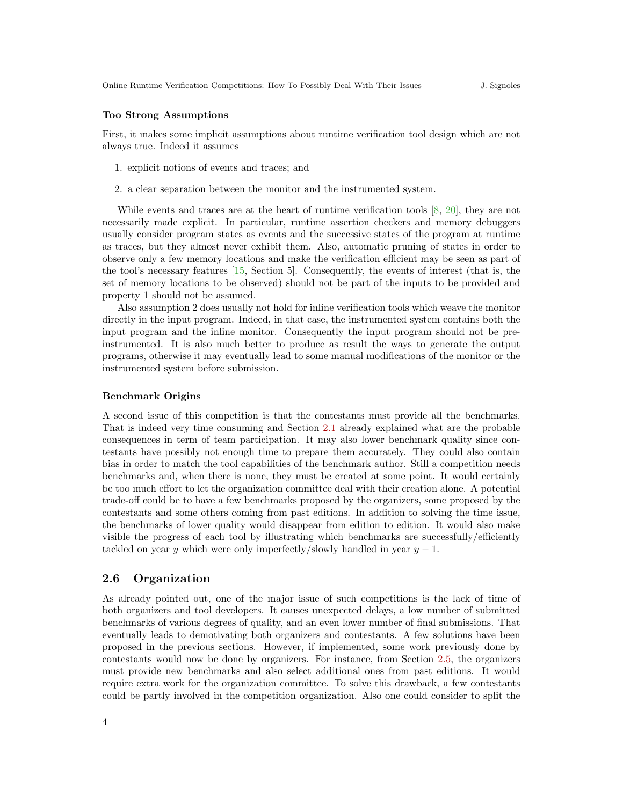#### Too Strong Assumptions

First, it makes some implicit assumptions about runtime verification tool design which are not always true. Indeed it assumes

- 1. explicit notions of events and traces; and
- 2. a clear separation between the monitor and the instrumented system.

While events and traces are at the heart of runtime verification tools [\[8,](#page-5-5) [20\]](#page-6-5), they are not necessarily made explicit. In particular, runtime assertion checkers and memory debuggers usually consider program states as events and the successive states of the program at runtime as traces, but they almost never exhibit them. Also, automatic pruning of states in order to observe only a few memory locations and make the verification efficient may be seen as part of the tool's necessary features [\[15,](#page-6-6) Section 5]. Consequently, the events of interest (that is, the set of memory locations to be observed) should not be part of the inputs to be provided and property 1 should not be assumed.

Also assumption 2 does usually not hold for inline verification tools which weave the monitor directly in the input program. Indeed, in that case, the instrumented system contains both the input program and the inline monitor. Consequently the input program should not be preinstrumented. It is also much better to produce as result the ways to generate the output programs, otherwise it may eventually lead to some manual modifications of the monitor or the instrumented system before submission.

#### Benchmark Origins

A second issue of this competition is that the contestants must provide all the benchmarks. That is indeed very time consuming and Section [2.1](#page-0-0) already explained what are the probable consequences in term of team participation. It may also lower benchmark quality since contestants have possibly not enough time to prepare them accurately. They could also contain bias in order to match the tool capabilities of the benchmark author. Still a competition needs benchmarks and, when there is none, they must be created at some point. It would certainly be too much effort to let the organization committee deal with their creation alone. A potential trade-off could be to have a few benchmarks proposed by the organizers, some proposed by the contestants and some others coming from past editions. In addition to solving the time issue, the benchmarks of lower quality would disappear from edition to edition. It would also make visible the progress of each tool by illustrating which benchmarks are successfully/efficiently tackled on year y which were only imperfectly/slowly handled in year  $y - 1$ .

### <span id="page-3-0"></span>2.6 Organization

As already pointed out, one of the major issue of such competitions is the lack of time of both organizers and tool developers. It causes unexpected delays, a low number of submitted benchmarks of various degrees of quality, and an even lower number of final submissions. That eventually leads to demotivating both organizers and contestants. A few solutions have been proposed in the previous sections. However, if implemented, some work previously done by contestants would now be done by organizers. For instance, from Section [2.5,](#page-2-1) the organizers must provide new benchmarks and also select additional ones from past editions. It would require extra work for the organization committee. To solve this drawback, a few contestants could be partly involved in the competition organization. Also one could consider to split the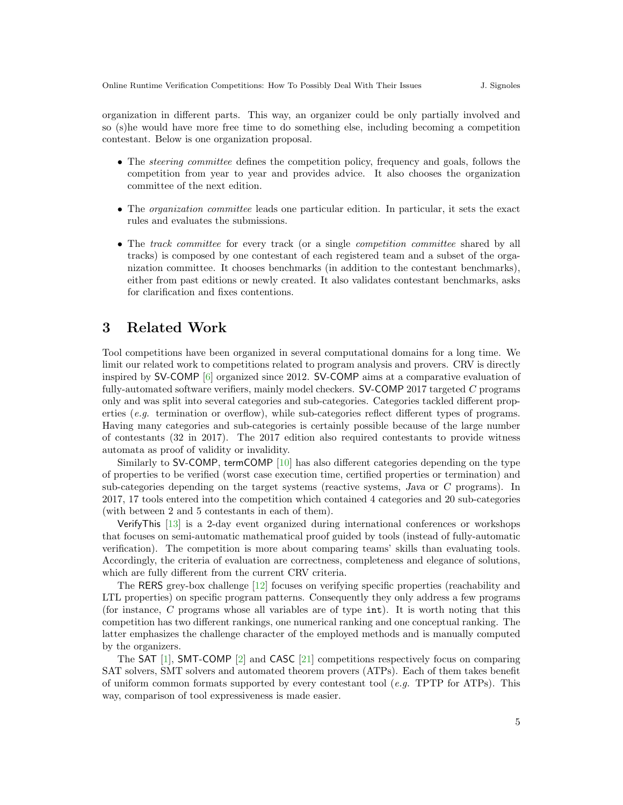organization in different parts. This way, an organizer could be only partially involved and so (s)he would have more free time to do something else, including becoming a competition contestant. Below is one organization proposal.

- The *steering committee* defines the competition policy, frequency and goals, follows the competition from year to year and provides advice. It also chooses the organization committee of the next edition.
- The *organization committee* leads one particular edition. In particular, it sets the exact rules and evaluates the submissions.
- The track committee for every track (or a single *competition committee* shared by all tracks) is composed by one contestant of each registered team and a subset of the organization committee. It chooses benchmarks (in addition to the contestant benchmarks), either from past editions or newly created. It also validates contestant benchmarks, asks for clarification and fixes contentions.

# 3 Related Work

Tool competitions have been organized in several computational domains for a long time. We limit our related work to competitions related to program analysis and provers. CRV is directly inspired by SV-COMP [\[6\]](#page-5-6) organized since 2012. SV-COMP aims at a comparative evaluation of fully-automated software verifiers, mainly model checkers. SV-COMP 2017 targeted C programs only and was split into several categories and sub-categories. Categories tackled different properties (e.g. termination or overflow), while sub-categories reflect different types of programs. Having many categories and sub-categories is certainly possible because of the large number of contestants (32 in 2017). The 2017 edition also required contestants to provide witness automata as proof of validity or invalidity.

Similarly to SV-COMP, termCOMP [\[10\]](#page-5-7) has also different categories depending on the type of properties to be verified (worst case execution time, certified properties or termination) and sub-categories depending on the target systems (reactive systems, Java or C programs). In 2017, 17 tools entered into the competition which contained 4 categories and 20 sub-categories (with between 2 and 5 contestants in each of them).

VerifyThis [\[13\]](#page-6-7) is a 2-day event organized during international conferences or workshops that focuses on semi-automatic mathematical proof guided by tools (instead of fully-automatic verification). The competition is more about comparing teams' skills than evaluating tools. Accordingly, the criteria of evaluation are correctness, completeness and elegance of solutions, which are fully different from the current CRV criteria.

The RERS grey-box challenge [\[12\]](#page-6-8) focuses on verifying specific properties (reachability and LTL properties) on specific program patterns. Consequently they only address a few programs (for instance, C programs whose all variables are of type int). It is worth noting that this competition has two different rankings, one numerical ranking and one conceptual ranking. The latter emphasizes the challenge character of the employed methods and is manually computed by the organizers.

The SAT [\[1\]](#page-5-8), SMT-COMP [\[2\]](#page-5-9) and CASC [\[21\]](#page-6-9) competitions respectively focus on comparing SAT solvers, SMT solvers and automated theorem provers (ATPs). Each of them takes benefit of uniform common formats supported by every contestant tool (*e.g.* TPTP for ATPs). This way, comparison of tool expressiveness is made easier.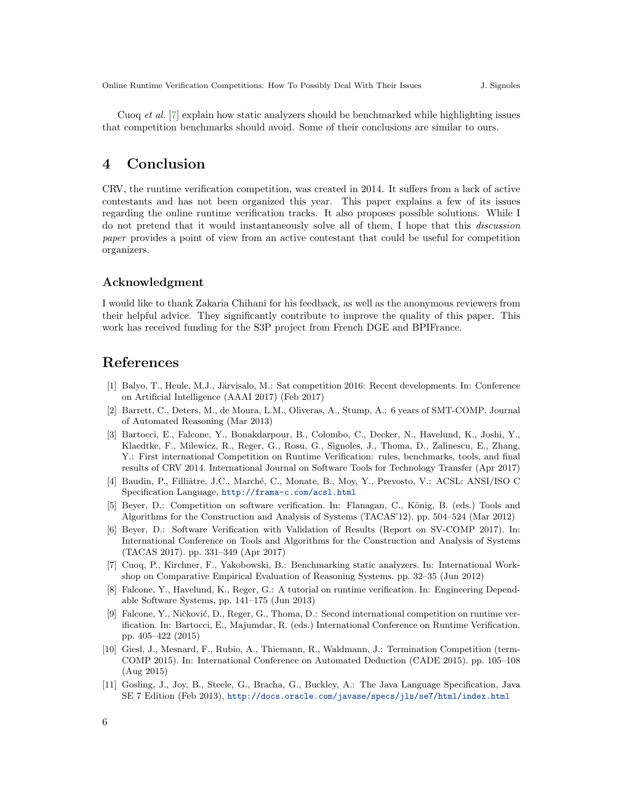Cuoq et al. [\[7\]](#page-5-10) explain how static analyzers should be benchmarked while highlighting issues that competition benchmarks should avoid. Some of their conclusions are similar to ours.

# 4 Conclusion

CRV, the runtime verification competition, was created in 2014. It suffers from a lack of active contestants and has not been organized this year. This paper explains a few of its issues regarding the online runtime verification tracks. It also proposes possible solutions. While I do not pretend that it would instantaneously solve all of them, I hope that this discussion paper provides a point of view from an active contestant that could be useful for competition organizers.

### Acknowledgment

I would like to thank Zakaria Chihani for his feedback, as well as the anonymous reviewers from their helpful advice. They significantly contribute to improve the quality of this paper. This work has received funding for the S3P project from French DGE and BPIFrance.

# References

- <span id="page-5-8"></span>[1] Balyo, T., Heule, M.J., Järvisalo, M.: Sat competition 2016: Recent developments. In: Conference on Artificial Intelligence (AAAI 2017) (Feb 2017)
- <span id="page-5-9"></span>[2] Barrett, C., Deters, M., de Moura, L.M., Oliveras, A., Stump, A.: 6 years of SMT-COMP. Journal of Automated Reasoning (Mar 2013)
- <span id="page-5-0"></span>[3] Bartocci, E., Falcone, Y., Bonakdarpour, B., Colombo, C., Decker, N., Havelund, K., Joshi, Y., Klaedtke, F., Milewicz, R., Reger, G., Rosu, G., Signoles, J., Thoma, D., Zalinescu, E., Zhang, Y.: First international Competition on Runtime Verification: rules, benchmarks, tools, and final results of CRV 2014. International Journal on Software Tools for Technology Transfer (Apr 2017)
- <span id="page-5-3"></span>[4] Baudin, P., Filliâtre, J.C., Marché, C., Monate, B., Moy, Y., Prevosto, V.: ACSL: ANSI/ISO C Specification Language, <http://frama-c.com/acsl.html>
- <span id="page-5-4"></span>[5] Beyer, D.: Competition on software verification. In: Flanagan, C., König, B. (eds.) Tools and Algorithms for the Construction and Analysis of Systems (TACAS'12). pp. 504–524 (Mar 2012)
- <span id="page-5-6"></span>[6] Beyer, D.: Software Verification with Validation of Results (Report on SV-COMP 2017). In: International Conference on Tools and Algorithms for the Construction and Analysis of Systems (TACAS 2017). pp. 331–349 (Apr 2017)
- <span id="page-5-10"></span>[7] Cuoq, P., Kirchner, F., Yakobowski, B.: Benchmarking static analyzers. In: International Workshop on Comparative Empirical Evaluation of Reasoning Systems. pp. 32–35 (Jun 2012)
- <span id="page-5-5"></span>[8] Falcone, Y., Havelund, K., Reger, G.: A tutorial on runtime verification. In: Engineering Dependable Software Systems, pp. 141–175 (Jun 2013)
- <span id="page-5-1"></span>[9] Falcone, Y., Ničković, D., Reger, G., Thoma, D.: Second international competition on runtime verification. In: Bartocci, E., Majumdar, R. (eds.) International Conference on Runtime Verification. pp. 405–422 (2015)
- <span id="page-5-7"></span>[10] Giesl, J., Mesnard, F., Rubio, A., Thiemann, R., Waldmann, J.: Termination Competition (term-COMP 2015). In: International Conference on Automated Deduction (CADE 2015). pp. 105–108 (Aug 2015)
- <span id="page-5-2"></span>[11] Gosling, J., Joy, B., Steele, G., Bracha, G., Buckley, A.: The Java Language Specification, Java SE 7 Edition (Feb 2013), <http://docs.oracle.com/javase/specs/jls/se7/html/index.html>